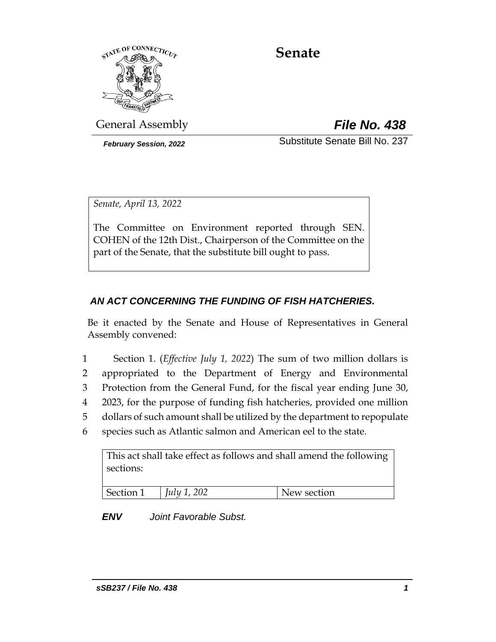

# **Senate**

General Assembly *File No. 438*

*February Session, 2022* Substitute Senate Bill No. 237

*Senate, April 13, 2022*

The Committee on Environment reported through SEN. COHEN of the 12th Dist., Chairperson of the Committee on the part of the Senate, that the substitute bill ought to pass.

## *AN ACT CONCERNING THE FUNDING OF FISH HATCHERIES.*

Be it enacted by the Senate and House of Representatives in General Assembly convened:

- 1 Section 1. (*Effective July 1, 2022*) The sum of two million dollars is 2 appropriated to the Department of Energy and Environmental 3 Protection from the General Fund, for the fiscal year ending June 30, 4 2023, for the purpose of funding fish hatcheries, provided one million 5 dollars of such amount shall be utilized by the department to repopulate
- 6 species such as Atlantic salmon and American eel to the state.

This act shall take effect as follows and shall amend the following sections:

| Section 1 | $\vert$ July 1, 202 | New section |
|-----------|---------------------|-------------|

*ENV Joint Favorable Subst.*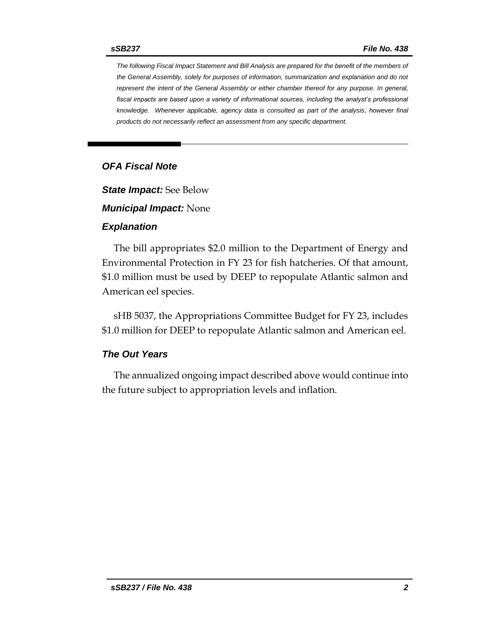*The following Fiscal Impact Statement and Bill Analysis are prepared for the benefit of the members of the General Assembly, solely for purposes of information, summarization and explanation and do not represent the intent of the General Assembly or either chamber thereof for any purpose. In general,*  fiscal impacts are based upon a variety of informational sources, including the analyst's professional *knowledge. Whenever applicable, agency data is consulted as part of the analysis, however final products do not necessarily reflect an assessment from any specific department.*

### *OFA Fiscal Note*

*State Impact:* See Below

*Municipal Impact:* None

#### *Explanation*

The bill appropriates \$2.0 million to the Department of Energy and Environmental Protection in FY 23 for fish hatcheries. Of that amount, \$1.0 million must be used by DEEP to repopulate Atlantic salmon and American eel species.

sHB 5037, the Appropriations Committee Budget for FY 23, includes \$1.0 million for DEEP to repopulate Atlantic salmon and American eel.

#### *The Out Years*

The annualized ongoing impact described above would continue into the future subject to appropriation levels and inflation.